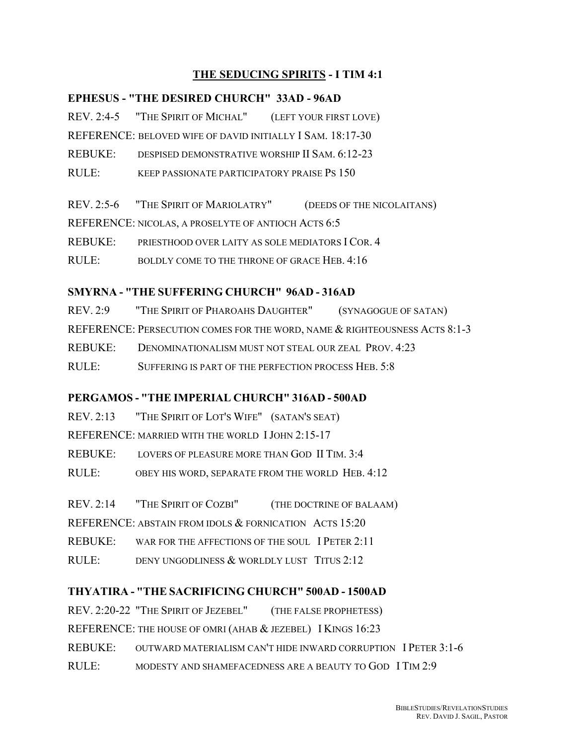## **THE SEDUCING SPIRITS - I TIM 4:1**

### **EPHESUS - "THE DESIRED CHURCH" 33AD - 96AD**

REV. 2:4-5 "THE SPIRIT OF MICHAL" (LEFT YOUR FIRST LOVE)

REFERENCE: BELOVED WIFE OF DAVID INITIALLY I SAM. 18:17-30

REBUKE: DESPISED DEMONSTRATIVE WORSHIP II SAM. 6:12-23

RULE: KEEP PASSIONATE PARTICIPATORY PRAISE PS 150

REV. 2:5-6 "THE SPIRIT OF MARIOLATRY" (DEEDS OF THE NICOLAITANS)

REFERENCE: NICOLAS, A PROSELYTE OF ANTIOCH ACTS 6:5

REBUKE: PRIESTHOOD OVER LAITY AS SOLE MEDIATORS I COR. 4

RULE: BOLDLY COME TO THE THRONE OF GRACE HEB. 4:16

## **SMYRNA - "THE SUFFERING CHURCH" 96AD - 316AD**

REV. 2:9 "THE SPIRIT OF PHAROAHS DAUGHTER" (SYNAGOGUE OF SATAN) REFERENCE: PERSECUTION COMES FOR THE WORD, NAME & RIGHTEOUSNESS ACTS 8:1-3 REBUKE: DENOMINATIONALISM MUST NOT STEAL OUR ZEAL PROV. 4:23 RULE: SUFFERING IS PART OF THE PERFECTION PROCESS HEB. 5:8

# **PERGAMOS - "THE IMPERIAL CHURCH" 316AD - 500AD**

REV. 2:13 "THE SPIRIT OF LOT'S WIFE" (SATAN'S SEAT) REFERENCE: MARRIED WITH THE WORLD IJOHN 2:15-17 REBUKE: LOVERS OF PLEASURE MORE THAN GOD II TIM. 3:4 RULE: OBEY HIS WORD, SEPARATE FROM THE WORLD HEB. 4:12

REV. 2:14 "THE SPIRIT OF COZBI" (THE DOCTRINE OF BALAAM)

REFERENCE: ABSTAIN FROM IDOLS & FORNICATION ACTS 15:20

REBUKE: WAR FOR THE AFFECTIONS OF THE SOUL I PETER 2:11

RULE: DENY UNGODLINESS & WORLDLY LUST TITUS 2:12

# **THYATIRA - "THE SACRIFICING CHURCH" 500AD - 1500AD**

REV. 2:20-22 "THE SPIRIT OF JEZEBEL" (THE FALSE PROPHETESS) REFERENCE: THE HOUSE OF OMRI (AHAB & JEZEBEL) I KINGS 16:23 REBUKE: OUTWARD MATERIALISM CAN'T HIDE INWARD CORRUPTION I PETER 3:1-6 RULE: MODESTY AND SHAMEFACEDNESS ARE A BEAUTY TO GOD I TIM 2:9